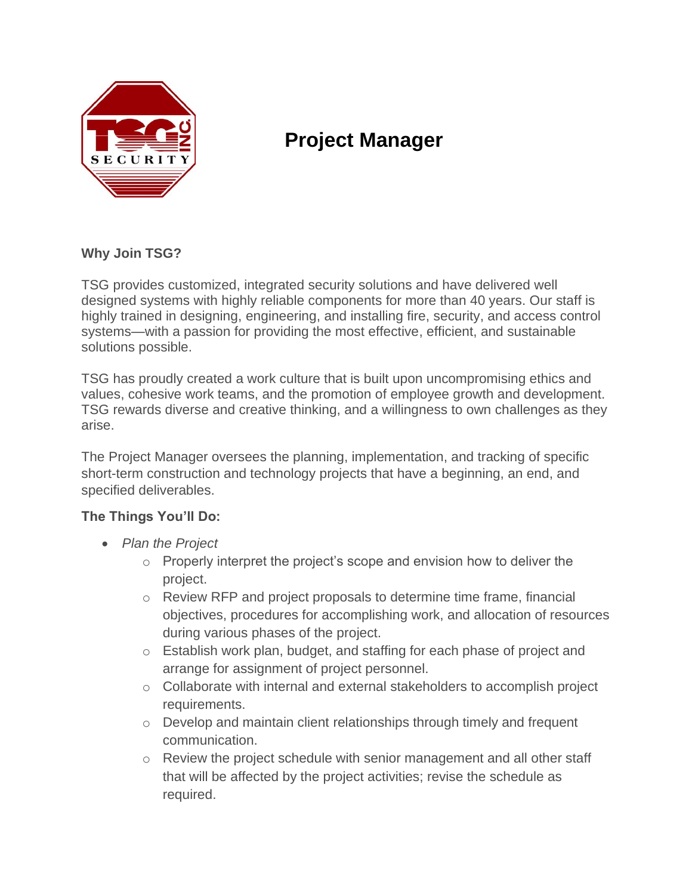

# **Project Manager**

## **Why Join TSG?**

TSG provides customized, integrated security solutions and have delivered well designed systems with highly reliable components for more than 40 years. Our staff is highly trained in designing, engineering, and installing fire, security, and access control systems—with a passion for providing the most effective, efficient, and sustainable solutions possible.

TSG has proudly created a work culture that is built upon uncompromising ethics and values, cohesive work teams, and the promotion of employee growth and development. TSG rewards diverse and creative thinking, and a willingness to own challenges as they arise.

The Project Manager oversees the planning, implementation, and tracking of specific short-term construction and technology projects that have a beginning, an end, and specified deliverables.

#### **The Things You'll Do:**

- *Plan the Project*
	- $\circ$  Properly interpret the project's scope and envision how to deliver the project.
	- o Review RFP and project proposals to determine time frame, financial objectives, procedures for accomplishing work, and allocation of resources during various phases of the project.
	- o Establish work plan, budget, and staffing for each phase of project and arrange for assignment of project personnel.
	- o Collaborate with internal and external stakeholders to accomplish project requirements.
	- $\circ$  Develop and maintain client relationships through timely and frequent communication.
	- o Review the project schedule with senior management and all other staff that will be affected by the project activities; revise the schedule as required.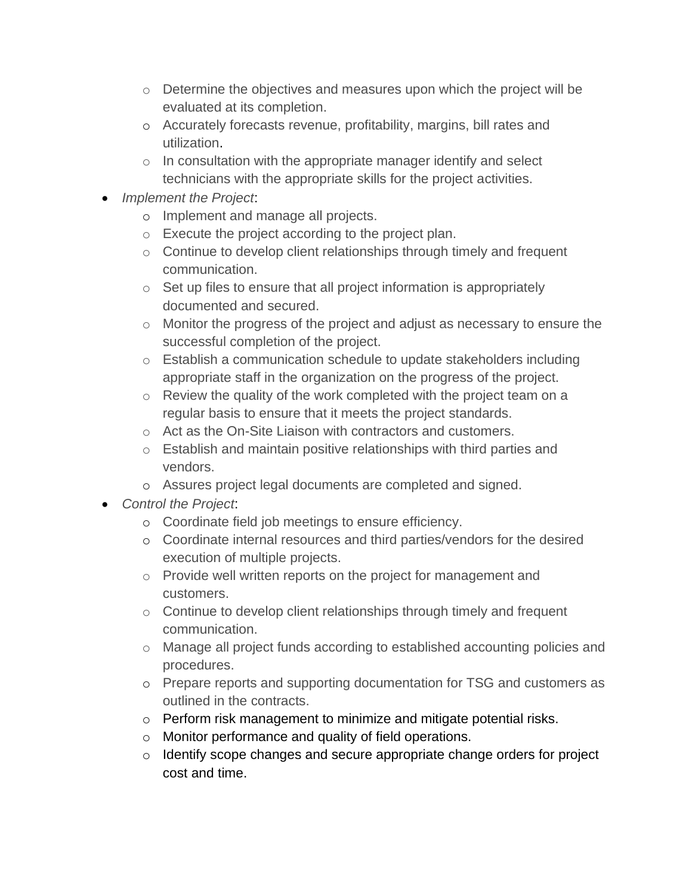- $\circ$  Determine the objectives and measures upon which the project will be evaluated at its completion.
- o Accurately forecasts revenue, profitability, margins, bill rates and utilization.
- o In consultation with the appropriate manager identify and select technicians with the appropriate skills for the project activities.
- *Implement the Project*:
	- o Implement and manage all projects.
	- o Execute the project according to the project plan.
	- o Continue to develop client relationships through timely and frequent communication.
	- o Set up files to ensure that all project information is appropriately documented and secured.
	- o Monitor the progress of the project and adjust as necessary to ensure the successful completion of the project.
	- $\circ$  Establish a communication schedule to update stakeholders including appropriate staff in the organization on the progress of the project.
	- $\circ$  Review the quality of the work completed with the project team on a regular basis to ensure that it meets the project standards.
	- o Act as the On-Site Liaison with contractors and customers.
	- o Establish and maintain positive relationships with third parties and vendors.
	- o Assures project legal documents are completed and signed.
- *Control the Project*:
	- o Coordinate field job meetings to ensure efficiency.
	- o Coordinate internal resources and third parties/vendors for the desired execution of multiple projects.
	- o Provide well written reports on the project for management and customers.
	- $\circ$  Continue to develop client relationships through timely and frequent communication.
	- o Manage all project funds according to established accounting policies and procedures.
	- o Prepare reports and supporting documentation for TSG and customers as outlined in the contracts.
	- o Perform risk management to minimize and mitigate potential risks.
	- o Monitor performance and quality of field operations.
	- o Identify scope changes and secure appropriate change orders for project cost and time.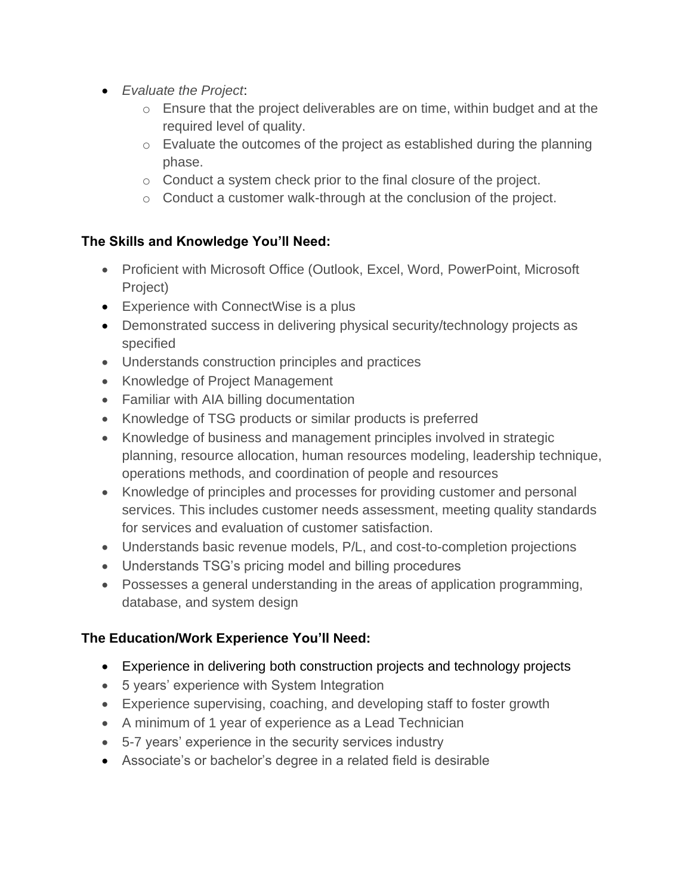- *Evaluate the Project*:
	- o Ensure that the project deliverables are on time, within budget and at the required level of quality.
	- o Evaluate the outcomes of the project as established during the planning phase.
	- o Conduct a system check prior to the final closure of the project.
	- o Conduct a customer walk-through at the conclusion of the project.

## **The Skills and Knowledge You'll Need:**

- Proficient with Microsoft Office (Outlook, Excel, Word, PowerPoint, Microsoft Project)
- Experience with ConnectWise is a plus
- Demonstrated success in delivering physical security/technology projects as specified
- Understands construction principles and practices
- Knowledge of Project Management
- Familiar with AIA billing documentation
- Knowledge of TSG products or similar products is preferred
- Knowledge of business and management principles involved in strategic planning, resource allocation, human resources modeling, leadership technique, operations methods, and coordination of people and resources
- Knowledge of principles and processes for providing customer and personal services. This includes customer needs assessment, meeting quality standards for services and evaluation of customer satisfaction.
- Understands basic revenue models, P/L, and cost-to-completion projections
- Understands TSG's pricing model and billing procedures
- Possesses a general understanding in the areas of application programming, database, and system design

## **The Education/Work Experience You'll Need:**

- Experience in delivering both construction projects and technology projects
- 5 years' experience with System Integration
- Experience supervising, coaching, and developing staff to foster growth
- A minimum of 1 year of experience as a Lead Technician
- 5-7 years' experience in the security services industry
- Associate's or bachelor's degree in a related field is desirable